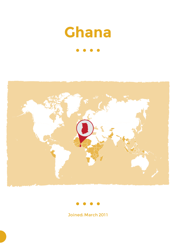





Joined: March 2011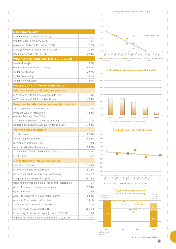| Demographic data                                            |          |
|-------------------------------------------------------------|----------|
| National Population (million, 2010)                         | 24.3     |
| Children under 5 (million, 2010)                            | 3.5      |
| Adolescent Girls (15-19) (million, 2010)                    | 1.30     |
| Average Number of Births (million, 2010)                    | 0.80     |
| Population growth rate (2010)                               | 2.53%    |
| <b>WHA nutrition target indicators (DHS 2008)</b>           |          |
| Low birth weight                                            | 10.0%    |
| 0-5 months Exclusive Breastfeeding                          | 62.8%    |
| Under five stunting                                         | 22.7%    |
| Under five wasting                                          | 6.2%     |
| Under five overweight                                       | 2.6%     |
| <b>Coverage of Nutrition-relevant Factors</b>               |          |
| Infant and young child feeding practice                     |          |
| 6-23 months with Minimum Acceptable Diet                    | 31.0%    |
| 6-23 months with Minimum Diet Diversity                     | 46.5%    |
| <b>Programs for vitamin and mineral deficiencies</b>        |          |
| Zinc Supplementation for Diarrhea                           | 1.8%     |
| Pregnant Women Attending 4<br>or more Antenatal Care Visits | 78.2%    |
| Vitamin A supplementation (6-59 months)                     | 17.0%    |
| Households Consuming Adequately Iodized Salt                | 32.4%    |
| <b>Women's Empowerment</b>                                  |          |
| Female literacy                                             | 62.9%    |
| Female employment rate                                      | 64.2%    |
| Median age at first marriage                                | 19.8     |
| Access to skilled birth attendant                           | 58.7%    |
| Women who have first birth before age 18                    | 13.3%    |
| Fertility rate                                              | 4.2      |
| <b>Other Nutrition-relevant indicators</b>                  |          |
| Rate of urbanization                                        | 51.49%   |
| Income share held by lowest 20%                             | 5.24%    |
| Calories per capita per day (kcal/capita/day)               | 2,674.7  |
| Energy from non-staples in supply                           | 29.73%   |
| Iron availability from animal products (mg/capita/day)      | 1.7      |
| Access to Improved Sanitation Facilities                    | 12.4%    |
| Open defecation                                             | 22.9%    |
| Access to Improved Drinking Water Sources                   | 83.8%    |
| Access to Piped Water on Premises                           | 13.1%    |
| Surface Water as Drinking Water Source                      | 11.1%    |
| GDP per capita (current USD, 2013)                          | 1,850.00 |
| Exports-Agr Products per capita (current USD, 2012)         | 1.86     |
| Imports-Agr Products per capita (current USD, 2012)         | 0.45     |



#### **Distribution of stunting across wealth quintiles**



### **Trend of Exclusive Breastfeeding Rate**



## **0,82 0,49** 2012 2015 2020 2025 **Current AARR Target AARR = 4.4%** Target prevalence: 18.02% Beginning prevalence: 22.7% **Targeted Stunting Reduction (million U5 stunted children)**

**Effort needed** ■Target

SUN Movement **Compendium 2014**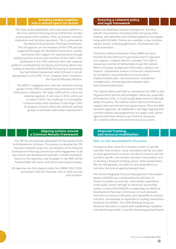#### **Bringing people together into a shared space for action**

The main multi-stakeholder and multi-sector platform is the Cross Sectoral Planning Group (CSPG) that includes various government entities, CSOs, businesses, research institutions and technical specialists. This is convened by the National Development Planning Commission. The UN agencies are all members of the CSPG and are supported through the UN REACH mechanism. Donors harmonize their support for national plans through existing systems and are also members of the CSPG. CSOs participate in the CSPG and have their own separate platform coordinated by the Ghana Civil Society Alliance for Scaling up Nutrition (GHACSSUN).The business community has had limited involvement with SUN and is not yet represented on the CSPG. It has, however, been involved in the Food Fortification Alliance.

The NDPC is engaging more with the technical working groups of the CSPG to expedite the achievement of the SUN process indicators. The larger CSPG which is thus not meeting regularly. It met once in 2013, and is yet to meet in 2014. The challenge is to strengthen communication with members of the larger CSPG on progress of work within the technical working groups to eliminate information asymmetries.

#### **Aligning actions around a Common Results Framework**

The CRF has not yet been developed for the whole of the SUN Movement in Ghana. The process to develop the CRF has been initiated under the coordination of the National Development Planning Commission with engagement of all key sectors and development partners. A draft framework, based on the objectives and strategies in the NNP will be finalised after the sector and district planning processes.

UN Agencies are fully aligned under the UNDAF 2012-2016, particularly with the thematic area on food security and nutrition.

#### **Ensuring a coherent policy and legal framework**

Ghana has developed several strategies for nutritionspecific interventions including infant and young child feeding, salt iodization and nutrition guidelines for people living with HIV/AIDs. Policies are available in key nutritionrelated sectors including agriculture, development and social protection.

The Ghana National Nutrition Policy (NNP) has been finalized by the CSPG but to get Government's approval and support, a Cabinet Memo is needed. The CSPG is preparing a number of deliverables to get the Cabinet Memo including: background information, options and impacts, comparative analysis of resource requirements for all options, recommended course of action, implementation plan, risk assessment, institutional arrangements, monitoring and evaluation plan, and communication plan.

The Cabinet Memo will seek to mainstream the NNP as part of government policies and strategies. Advocacy, especially at Parliament level, is crucial to get government to officially adopt this policy. The Cabinet memo will ensure financial support and commitment from government. Once the NNP has been approved, all stakeholders will begin aligning their nutrition policies and programmes at a larger scale, Donor agencies will know where to put financial resources, all in a bid to achieve one common result as a team.

#### **Financial Tracking and resource mobilization**

#### Note: no score was provided for this process.

Costing has been done for a limited number of specific nutrition interventions. Local consultants will be recruited to assist government at sector and district level to cost the nutrition specific and nutrition sensitive interventions and to develop a financial tracking system. Some stakeholders, like the UN agencies, are able to track expenditure on nutrition, but only at agency/network level.

The Ghana Integrated Financial Management Information System (GIFMIS) was introduced by the Ministry of Finance to better account for, and monitor expenditure in the public sector, through an electronic accounting system. A team from MQSUN is supporting the National Development Planning Commission to track domestic and external resource allocation and expenditures around nutrition, and develop an expenditure tracking mechanism based on the GIFMIS. The CSPG Working Group on Resource Allocation is tasked with establishing a baseline and monitoring trends in nutrition financing going forward.

78